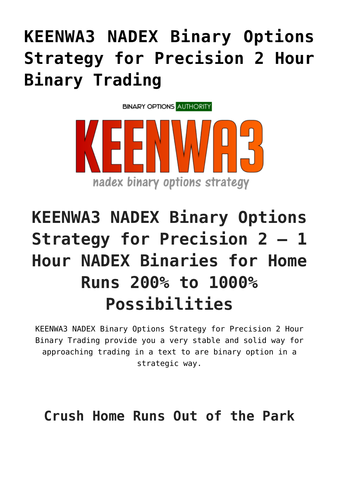## **[KEENWA3 NADEX Binary Options](https://binaryoptionsauthority.com/keenwa3-nadex-binary-options-strategy-precision-2-hour-binary-trading/) [Strategy for Precision 2 Hour](https://binaryoptionsauthority.com/keenwa3-nadex-binary-options-strategy-precision-2-hour-binary-trading/) [Binary Trading](https://binaryoptionsauthority.com/keenwa3-nadex-binary-options-strategy-precision-2-hour-binary-trading/)**



## **KEENWA3 NADEX Binary Options Strategy for Precision 2 – 1 Hour NADEX Binaries for Home Runs 200% to 1000% Possibilities**

KEENWA3 NADEX Binary Options Strategy for Precision 2 Hour Binary Trading provide you a very stable and solid way for approaching trading in a text to are binary option in a strategic way.

**Crush Home Runs Out of the Park**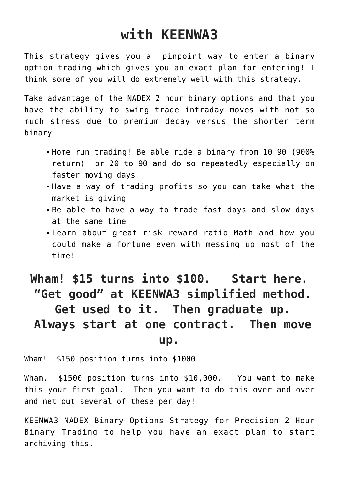## **with KEENWA3**

This strategy gives you a pinpoint way to enter a binary option trading which gives you an exact plan for entering! I think some of you will do extremely well with this strategy.

Take advantage of the NADEX 2 hour binary options and that you have the ability to swing trade intraday moves with not so much stress due to premium decay versus the shorter term binary

- Home run trading! Be able ride a binary from 10 90 (900% return) or 20 to 90 and do so repeatedly especially on faster moving days
- Have a way of trading profits so you can take what the market is giving
- Be able to have a way to trade fast days and slow days at the same time
- Learn about great risk reward ratio Math and how you could make a fortune even with messing up most of the time!

## **Wham! \$15 turns into \$100. Start here. "Get good" at KEENWA3 simplified method. Get used to it. Then graduate up. Always start at one contract. Then move up.**

Wham! \$150 position turns into \$1000

Wham. \$1500 position turns into \$10,000. You want to make this your first goal. Then you want to do this over and over and net out several of these per day!

KEENWA3 NADEX Binary Options Strategy for Precision 2 Hour Binary Trading to help you have an exact plan to start archiving this.